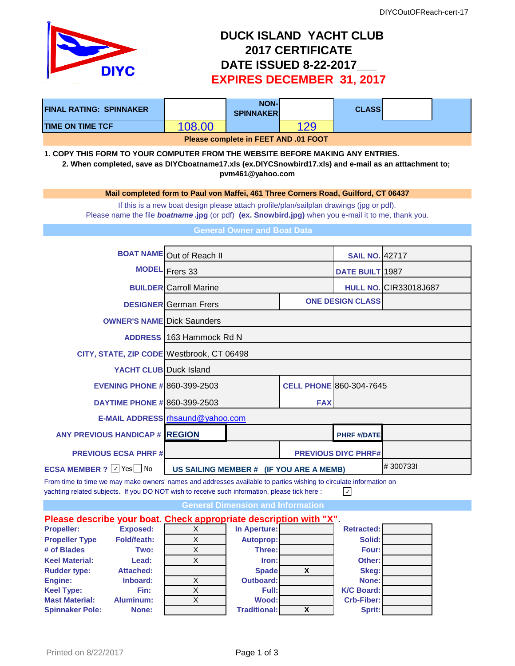

## **DUCK ISLAND YACHT CLUB 2017 CERTIFICATE DATE ISSUED 8-22-2017\_\_\_ EXPIRES DECEMBER 31, 2017**

| <b>FINAL RATING: SPINNAKER</b>                                                                                                                                                                                     |                                           |                                                                                                                                                                                                      | <b>NON-</b><br><b>SPINNAKER</b>          |                         | <b>CLASS</b>                   |                              |  |  |  |  |
|--------------------------------------------------------------------------------------------------------------------------------------------------------------------------------------------------------------------|-------------------------------------------|------------------------------------------------------------------------------------------------------------------------------------------------------------------------------------------------------|------------------------------------------|-------------------------|--------------------------------|------------------------------|--|--|--|--|
| <b>TIME ON TIME TCF</b>                                                                                                                                                                                            |                                           | 108.00                                                                                                                                                                                               |                                          | 129                     |                                |                              |  |  |  |  |
|                                                                                                                                                                                                                    |                                           |                                                                                                                                                                                                      | Please complete in FEET AND .01 FOOT     |                         |                                |                              |  |  |  |  |
| 1. COPY THIS FORM TO YOUR COMPUTER FROM THE WEBSITE BEFORE MAKING ANY ENTRIES.<br>2. When completed, save as DIYCboatname17.xls (ex.DIYCSnowbird17.xls) and e-mail as an atttachment to;<br>pvm461@yahoo.com       |                                           |                                                                                                                                                                                                      |                                          |                         |                                |                              |  |  |  |  |
| Mail completed form to Paul von Maffei, 461 Three Corners Road, Guilford, CT 06437                                                                                                                                 |                                           |                                                                                                                                                                                                      |                                          |                         |                                |                              |  |  |  |  |
|                                                                                                                                                                                                                    |                                           | If this is a new boat design please attach profile/plan/sailplan drawings (jpg or pdf).<br>Please name the file <b>boatname.jpg</b> (or pdf) (ex. Snowbird.jpg) when you e-mail it to me, thank you. |                                          |                         |                                |                              |  |  |  |  |
|                                                                                                                                                                                                                    |                                           |                                                                                                                                                                                                      | <b>General Owner and Boat Data</b>       |                         |                                |                              |  |  |  |  |
| <b>BOAT NAME</b> Out of Reach II                                                                                                                                                                                   |                                           |                                                                                                                                                                                                      |                                          |                         | <b>SAIL NO. 42717</b>          |                              |  |  |  |  |
|                                                                                                                                                                                                                    |                                           | MODEL Frers 33                                                                                                                                                                                       |                                          |                         | DATE BUILT 1987                |                              |  |  |  |  |
|                                                                                                                                                                                                                    |                                           | <b>BUILDER</b> Carroll Marine                                                                                                                                                                        |                                          |                         |                                | <b>HULL NO. CIR33018J687</b> |  |  |  |  |
|                                                                                                                                                                                                                    |                                           | <b>DESIGNER</b> German Frers                                                                                                                                                                         |                                          | <b>ONE DESIGN CLASS</b> |                                |                              |  |  |  |  |
|                                                                                                                                                                                                                    |                                           | <b>OWNER'S NAME Dick Saunders</b>                                                                                                                                                                    |                                          |                         |                                |                              |  |  |  |  |
| ADDRESS 163 Hammock Rd N                                                                                                                                                                                           |                                           |                                                                                                                                                                                                      |                                          |                         |                                |                              |  |  |  |  |
|                                                                                                                                                                                                                    | CITY, STATE, ZIP CODE Westbrook, CT 06498 |                                                                                                                                                                                                      |                                          |                         |                                |                              |  |  |  |  |
| <b>YACHT CLUB</b> Duck Island                                                                                                                                                                                      |                                           |                                                                                                                                                                                                      |                                          |                         |                                |                              |  |  |  |  |
| <b>EVENING PHONE # 860-399-2503</b>                                                                                                                                                                                |                                           |                                                                                                                                                                                                      |                                          |                         | <b>CELL PHONE 860-304-7645</b> |                              |  |  |  |  |
| <b>DAYTIME PHONE # 860-399-2503</b>                                                                                                                                                                                |                                           |                                                                                                                                                                                                      |                                          | <b>FAX</b>              |                                |                              |  |  |  |  |
|                                                                                                                                                                                                                    |                                           | E-MAIL ADDRESS rhsaund@yahoo.com                                                                                                                                                                     |                                          |                         |                                |                              |  |  |  |  |
|                                                                                                                                                                                                                    | <b>ANY PREVIOUS HANDICAP # REGION</b>     |                                                                                                                                                                                                      |                                          |                         | <b>PHRF #/DATE</b>             |                              |  |  |  |  |
| <b>PREVIOUS ECSA PHRF#</b>                                                                                                                                                                                         |                                           | <b>PREVIOUS DIYC PHRF#</b>                                                                                                                                                                           |                                          |                         |                                |                              |  |  |  |  |
| <b>ECSA MEMBER ?</b> $\vee$ Yes No                                                                                                                                                                                 |                                           | US SAILING MEMBER # (IF YOU ARE A MEMB)                                                                                                                                                              |                                          |                         |                                | #3007331                     |  |  |  |  |
| From time to time we may make owners' names and addresses available to parties wishing to circulate information on<br>yachting related subjects. If you DO NOT wish to receive such information, please tick here: |                                           |                                                                                                                                                                                                      |                                          |                         | $\prec$                        |                              |  |  |  |  |
|                                                                                                                                                                                                                    |                                           |                                                                                                                                                                                                      | <b>General Dimension and Information</b> |                         |                                |                              |  |  |  |  |
| Please describe your boat. Check appropriate description with "X".                                                                                                                                                 |                                           |                                                                                                                                                                                                      |                                          |                         |                                |                              |  |  |  |  |
| <b>Propeller:</b>                                                                                                                                                                                                  | <b>Exposed:</b>                           | X                                                                                                                                                                                                    | In Aperture:                             |                         | <b>Retracted:</b>              |                              |  |  |  |  |
| <b>Propeller Type</b><br># of Blades                                                                                                                                                                               | <b>Fold/feath:</b><br>Two:                | X<br>$\overline{X}$                                                                                                                                                                                  | <b>Autoprop:</b><br>Three:               |                         | Solid:<br>Four:                |                              |  |  |  |  |
| <b>Keel Material:</b>                                                                                                                                                                                              | Lead:                                     | $\mathsf X$                                                                                                                                                                                          | Iron:                                    |                         | Other:                         |                              |  |  |  |  |
| <b>Rudder type:</b>                                                                                                                                                                                                | <b>Attached:</b>                          |                                                                                                                                                                                                      | <b>Spade</b>                             | X                       | Skeg:                          |                              |  |  |  |  |
| Engine:                                                                                                                                                                                                            | Inboard:                                  | X                                                                                                                                                                                                    | <b>Outboard:</b>                         |                         | None:                          |                              |  |  |  |  |
| <b>Keel Type:</b>                                                                                                                                                                                                  | Fin:                                      | $\overline{X}$                                                                                                                                                                                       | Full:                                    |                         | <b>K/C Board:</b>              |                              |  |  |  |  |

**Mast Material: Aluminum:** X **Wood: Crb-Fiber: Spinnaker Pole: None: Traditional: X Sprit:**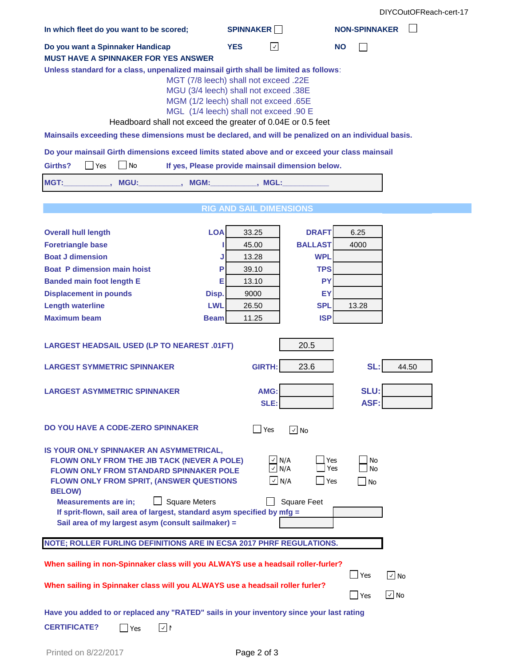| In which fleet do you want to be scored;                                                                                                                                                                                                                                                                                                                                                     | <b>SPINNAKER</b>                                                                                                                                                  | <b>NON-SPINNAKER</b>                                           |  |  |  |  |  |  |  |  |  |
|----------------------------------------------------------------------------------------------------------------------------------------------------------------------------------------------------------------------------------------------------------------------------------------------------------------------------------------------------------------------------------------------|-------------------------------------------------------------------------------------------------------------------------------------------------------------------|----------------------------------------------------------------|--|--|--|--|--|--|--|--|--|
| Do you want a Spinnaker Handicap                                                                                                                                                                                                                                                                                                                                                             | <b>YES</b><br>$\vert \downarrow \vert$                                                                                                                            | <b>NO</b>                                                      |  |  |  |  |  |  |  |  |  |
| <b>MUST HAVE A SPINNAKER FOR YES ANSWER</b>                                                                                                                                                                                                                                                                                                                                                  |                                                                                                                                                                   |                                                                |  |  |  |  |  |  |  |  |  |
| Unless standard for a class, unpenalized mainsail girth shall be limited as follows:<br>Headboard shall not exceed the greater of 0.04E or 0.5 feet                                                                                                                                                                                                                                          | MGT (7/8 leech) shall not exceed .22E<br>MGU (3/4 leech) shall not exceed .38E<br>MGM (1/2 leech) shall not exceed .65E<br>MGL (1/4 leech) shall not exceed .90 E |                                                                |  |  |  |  |  |  |  |  |  |
| Mainsails exceeding these dimensions must be declared, and will be penalized on an individual basis.                                                                                                                                                                                                                                                                                         |                                                                                                                                                                   |                                                                |  |  |  |  |  |  |  |  |  |
| Do your mainsail Girth dimensions exceed limits stated above and or exceed your class mainsail                                                                                                                                                                                                                                                                                               |                                                                                                                                                                   |                                                                |  |  |  |  |  |  |  |  |  |
| No<br>Girths?<br>If yes, Please provide mainsail dimension below.<br>Yes                                                                                                                                                                                                                                                                                                                     |                                                                                                                                                                   |                                                                |  |  |  |  |  |  |  |  |  |
| MGT:<br>MGU:<br>MGM:                                                                                                                                                                                                                                                                                                                                                                         | . MGL:                                                                                                                                                            |                                                                |  |  |  |  |  |  |  |  |  |
|                                                                                                                                                                                                                                                                                                                                                                                              |                                                                                                                                                                   |                                                                |  |  |  |  |  |  |  |  |  |
|                                                                                                                                                                                                                                                                                                                                                                                              | <b>RIG AND SAIL DIMENSIONS</b>                                                                                                                                    |                                                                |  |  |  |  |  |  |  |  |  |
|                                                                                                                                                                                                                                                                                                                                                                                              |                                                                                                                                                                   |                                                                |  |  |  |  |  |  |  |  |  |
| <b>LOA</b><br><b>Overall hull length</b>                                                                                                                                                                                                                                                                                                                                                     | <b>DRAFT</b><br>33.25                                                                                                                                             | 6.25                                                           |  |  |  |  |  |  |  |  |  |
| <b>Foretriangle base</b>                                                                                                                                                                                                                                                                                                                                                                     | <b>BALLAST</b><br>45.00                                                                                                                                           | 4000                                                           |  |  |  |  |  |  |  |  |  |
| <b>Boat J dimension</b><br><b>Boat P dimension main hoist</b><br>Р                                                                                                                                                                                                                                                                                                                           | 13.28<br><b>WPL</b><br><b>TPS</b>                                                                                                                                 |                                                                |  |  |  |  |  |  |  |  |  |
| <b>Banded main foot length E</b><br>Е                                                                                                                                                                                                                                                                                                                                                        | 39.10<br>13.10                                                                                                                                                    | <b>PY</b>                                                      |  |  |  |  |  |  |  |  |  |
| <b>Displacement in pounds</b><br>Disp.                                                                                                                                                                                                                                                                                                                                                       | 9000                                                                                                                                                              | EY                                                             |  |  |  |  |  |  |  |  |  |
| <b>Length waterline</b><br><b>LWL</b>                                                                                                                                                                                                                                                                                                                                                        | <b>SPL</b><br>26.50                                                                                                                                               | 13.28                                                          |  |  |  |  |  |  |  |  |  |
| <b>Maximum beam</b><br><b>Beam</b>                                                                                                                                                                                                                                                                                                                                                           | <b>ISP</b><br>11.25                                                                                                                                               |                                                                |  |  |  |  |  |  |  |  |  |
|                                                                                                                                                                                                                                                                                                                                                                                              |                                                                                                                                                                   |                                                                |  |  |  |  |  |  |  |  |  |
| <b>LARGEST HEADSAIL USED (LP TO NEAREST .01FT)</b>                                                                                                                                                                                                                                                                                                                                           | 20.5                                                                                                                                                              |                                                                |  |  |  |  |  |  |  |  |  |
| <b>LARGEST SYMMETRIC SPINNAKER</b>                                                                                                                                                                                                                                                                                                                                                           | <b>GIRTH:</b><br>23.6                                                                                                                                             | SL:<br>44.50                                                   |  |  |  |  |  |  |  |  |  |
| <b>LARGEST ASYMMETRIC SPINNAKER</b>                                                                                                                                                                                                                                                                                                                                                          | AMG:<br>SLE:                                                                                                                                                      | SLU:<br>ASF:                                                   |  |  |  |  |  |  |  |  |  |
| DO YOU HAVE A CODE-ZERO SPINNAKER                                                                                                                                                                                                                                                                                                                                                            | $\blacksquare$ Yes<br>$\boxed{\sqrt}$ No                                                                                                                          |                                                                |  |  |  |  |  |  |  |  |  |
| IS YOUR ONLY SPINNAKER AN ASYMMETRICAL,<br>FLOWN ONLY FROM THE JIB TACK (NEVER A POLE)<br><b>FLOWN ONLY FROM STANDARD SPINNAKER POLE</b><br>FLOWN ONLY FROM SPRIT, (ANSWER QUESTIONS<br><b>BELOW)</b><br><b>Square Meters</b><br><b>Measurements are in:</b><br>If sprit-flown, sail area of largest, standard asym specified by mfg =<br>Sail area of my largest asym (consult sailmaker) = | $\vee$ N/A<br>$\vee$ N/A<br>$\overline{\vee}$ N/A<br><b>Square Feet</b>                                                                                           | Yes<br>No<br>Yes<br>No<br>$\mathsf{\rpreceq}$ Yes<br><b>No</b> |  |  |  |  |  |  |  |  |  |
| NOTE; ROLLER FURLING DEFINITIONS ARE IN ECSA 2017 PHRF REGULATIONS.                                                                                                                                                                                                                                                                                                                          |                                                                                                                                                                   |                                                                |  |  |  |  |  |  |  |  |  |
| When sailing in non-Spinnaker class will you ALWAYS use a headsail roller-furler?<br>When sailing in Spinnaker class will you ALWAYS use a headsail roller furler?                                                                                                                                                                                                                           |                                                                                                                                                                   | $\vert$ Yes<br>$\vee$ No<br>$\sqrt{ }$ No<br><b>Yes</b>        |  |  |  |  |  |  |  |  |  |
| Have you added to or replaced any "RATED" sails in your inventory since your last rating<br><b>CERTIFICATE?</b><br>$\sqrt{2}$<br>Yes                                                                                                                                                                                                                                                         |                                                                                                                                                                   |                                                                |  |  |  |  |  |  |  |  |  |